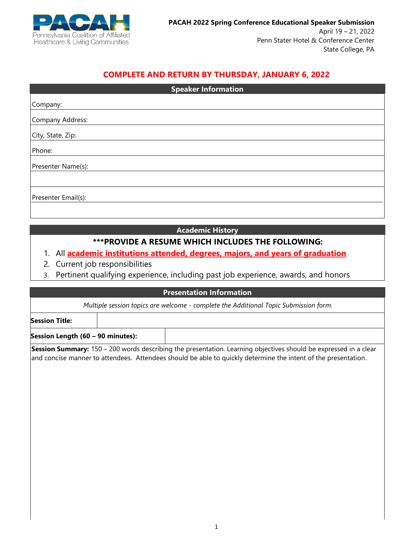

# **COMPLETE AND RETURN BY THURSDAY, JANUARY 6, 2022**

| <b>Speaker Information</b> |
|----------------------------|
| Company:                   |
|                            |
| Company Address:           |
| City, State, Zip:          |
| Phone:                     |
| Presenter Name(s):         |
|                            |
| Presenter Email(s):        |
|                            |

### **Academic History**

### **\*\*\*PROVIDE A RESUME WHICH INCLUDES THE FOLLOWING:**

- 1. All **academic institutions attended, degrees, majors, and years of graduation**
- 2. Current job responsibilities
- 3. Pertinent qualifying experience, including past job experience, awards, and honors

### **Presentation Information**

*Multiple session topics are welcome - complete the Additional Topic Submission form.*

**Session Title:**

**Session Length (60 – 90 minutes):**

**Session Summary:** 150 – 200 words describing the presentation. Learning objectives should be expressed in a clear and concise manner to attendees. Attendees should be able to quickly determine the intent of the presentation.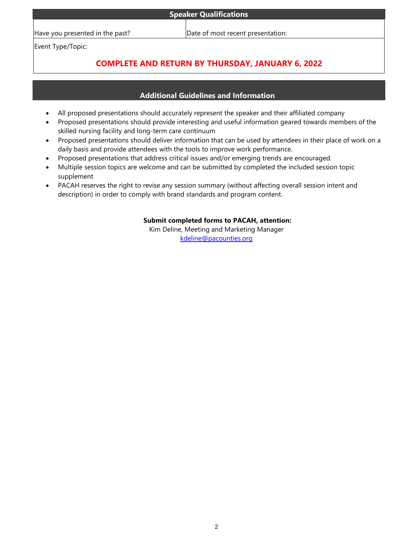| <b>Speaker Qualifications</b> |  |  |  |
|-------------------------------|--|--|--|

#### Have you presented in the past?  $\Box$  Date of most recent presentation:

Event Type/Topic:

# **COMPLETE AND RETURN BY THURSDAY, JANUARY 6, 2022**

# **Additional Guidelines and Information**

- All proposed presentations should accurately represent the speaker and their affiliated company
- Proposed presentations should provide interesting and useful information geared towards members of the skilled nursing facility and long-term care continuum
- Proposed presentations should deliver information that can be used by attendees in their place of work on a daily basis and provide attendees with the tools to improve work performance.
- Proposed presentations that address critical issues and/or emerging trends are encouraged.
- Multiple session topics are welcome and can be submitted by completed the included session topic supplement
- PACAH reserves the right to revise any session summary (without affecting overall session intent and description) in order to comply with brand standards and program content.

### **Submit completed forms to PACAH, attention:**

Kim Deline, Meeting and Marketing Manager [kdeline@pacounties.org](mailto:kdeline@pacounties.org)